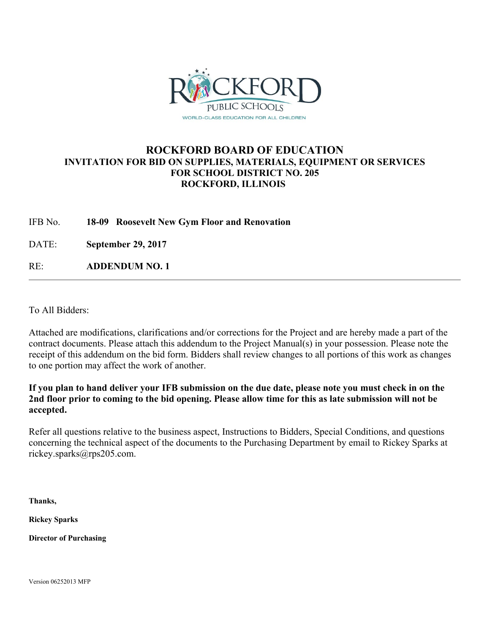

### **ROCKFORD BOARD OF EDUCATION INVITATION FOR BID ON SUPPLIES, MATERIALS, EQUIPMENT OR SERVICES FOR SCHOOL DISTRICT NO. 205 ROCKFORD, ILLINOIS**

IFB No. **18-09 Roosevelt New Gym Floor and Renovation**

DATE: **September 29, 2017**

RE: **ADDENDUM NO. 1**

To All Bidders:

Attached are modifications, clarifications and/or corrections for the Project and are hereby made a part of the contract documents. Please attach this addendum to the Project Manual(s) in your possession. Please note the receipt of this addendum on the bid form. Bidders shall review changes to all portions of this work as changes to one portion may affect the work of another.

**If you plan to hand deliver your IFB submission on the due date, please note you must check in on the 2nd floor prior to coming to the bid opening. Please allow time for this as late submission will not be accepted.** 

Refer all questions relative to the business aspect, Instructions to Bidders, Special Conditions, and questions concerning the technical aspect of the documents to the Purchasing Department by email to Rickey Sparks at rickey.sparks@rps205.com.

**Thanks,** 

**Rickey Sparks** 

**Director of Purchasing** 

Version 06252013 MFP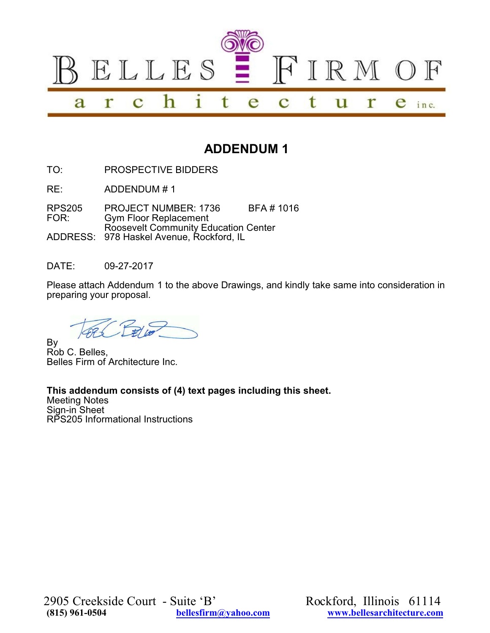

# **ADDENDUM 1**

TO: PROSPECTIVE BIDDERS

RE: ADDENDUM # 1

RPS205 PROJECT NUMBER: 1736 BFA # 1016<br>FOR: Gym Floor Replacement **Gym Floor Replacement** Roosevelt Community Education Center ADDRESS: 978 Haskel Avenue, Rockford, IL

DATE: 09-27-2017

Please attach Addendum 1 to the above Drawings, and kindly take same into consideration in preparing your proposal.

By Rob C. Belles, Belles Firm of Architecture Inc.

## **This addendum consists of (4) text pages including this sheet.**

Meeting Notes Sign-in Sheet RPS205 Informational Instructions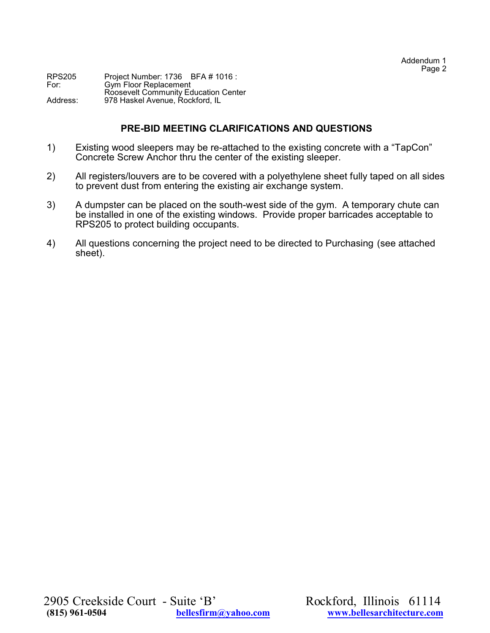RPS205 Project Number: 1736 BFA # 1016 :<br>For: Gym Floor Replacement For: Gym Floor Replacement Roosevelt Community Education Center Address: 978 Haskel Avenue, Rockford, IL

#### **PRE-BID MEETING CLARIFICATIONS AND QUESTIONS**

- 1) Existing wood sleepers may be re-attached to the existing concrete with a "TapCon" Concrete Screw Anchor thru the center of the existing sleeper.
- 2) All registers/louvers are to be covered with a polyethylene sheet fully taped on all sides to prevent dust from entering the existing air exchange system.
- 3) A dumpster can be placed on the south-west side of the gym. A temporary chute can be installed in one of the existing windows. Provide proper barricades acceptable to RPS205 to protect building occupants.
- 4) All questions concerning the project need to be directed to Purchasing (see attached sheet).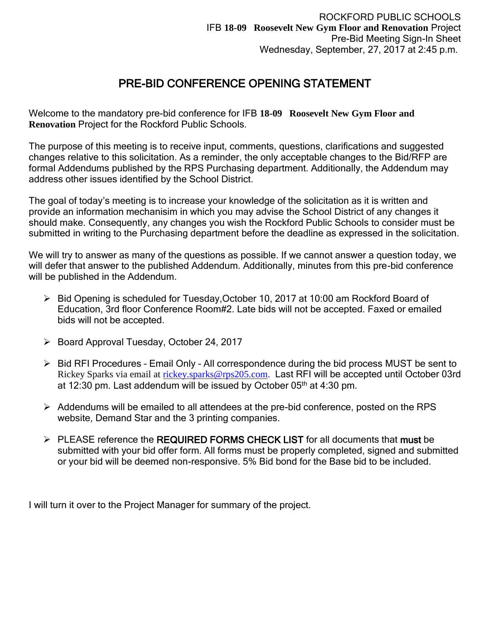## PRE-BID CONFERENCE OPENING STATEMENT

Welcome to the mandatory pre-bid conference for IFB **18-09 Roosevelt New Gym Floor and Renovation** Project for the Rockford Public Schools.

The purpose of this meeting is to receive input, comments, questions, clarifications and suggested changes relative to this solicitation. As a reminder, the only acceptable changes to the Bid/RFP are formal Addendums published by the RPS Purchasing department. Additionally, the Addendum may address other issues identified by the School District.

The goal of today's meeting is to increase your knowledge of the solicitation as it is written and provide an information mechanisim in which you may advise the School District of any changes it should make. Consequently, any changes you wish the Rockford Public Schools to consider must be submitted in writing to the Purchasing department before the deadline as expressed in the solicitation.

We will try to answer as many of the questions as possible. If we cannot answer a question today, we will defer that answer to the published Addendum. Additionally, minutes from this pre-bid conference will be published in the Addendum.

- Bid Opening is scheduled for Tuesday,October 10, 2017 at 10:00 am Rockford Board of Education, 3rd floor Conference Room#2. Late bids will not be accepted. Faxed or emailed bids will not be accepted.
- $\triangleright$  Board Approval Tuesday, October 24, 2017
- $\triangleright$  Bid RFI Procedures Email Only All correspondence during the bid process MUST be sent to Rickey Sparks via email at [rickey.sparks@rps205.com.](mailto:rickey.sparks@rps205.com) Last RFI will be accepted until October 03rd at 12:30 pm. Last addendum will be issued by October 05th at 4:30 pm.
- $\triangleright$  Addendums will be emailed to all attendees at the pre-bid conference, posted on the RPS website, Demand Star and the 3 printing companies.
- > PLEASE reference the REQUIRED FORMS CHECK LIST for all documents that must be submitted with your bid offer form. All forms must be properly completed, signed and submitted or your bid will be deemed non-responsive. 5% Bid bond for the Base bid to be included.

I will turn it over to the Project Manager for summary of the project.